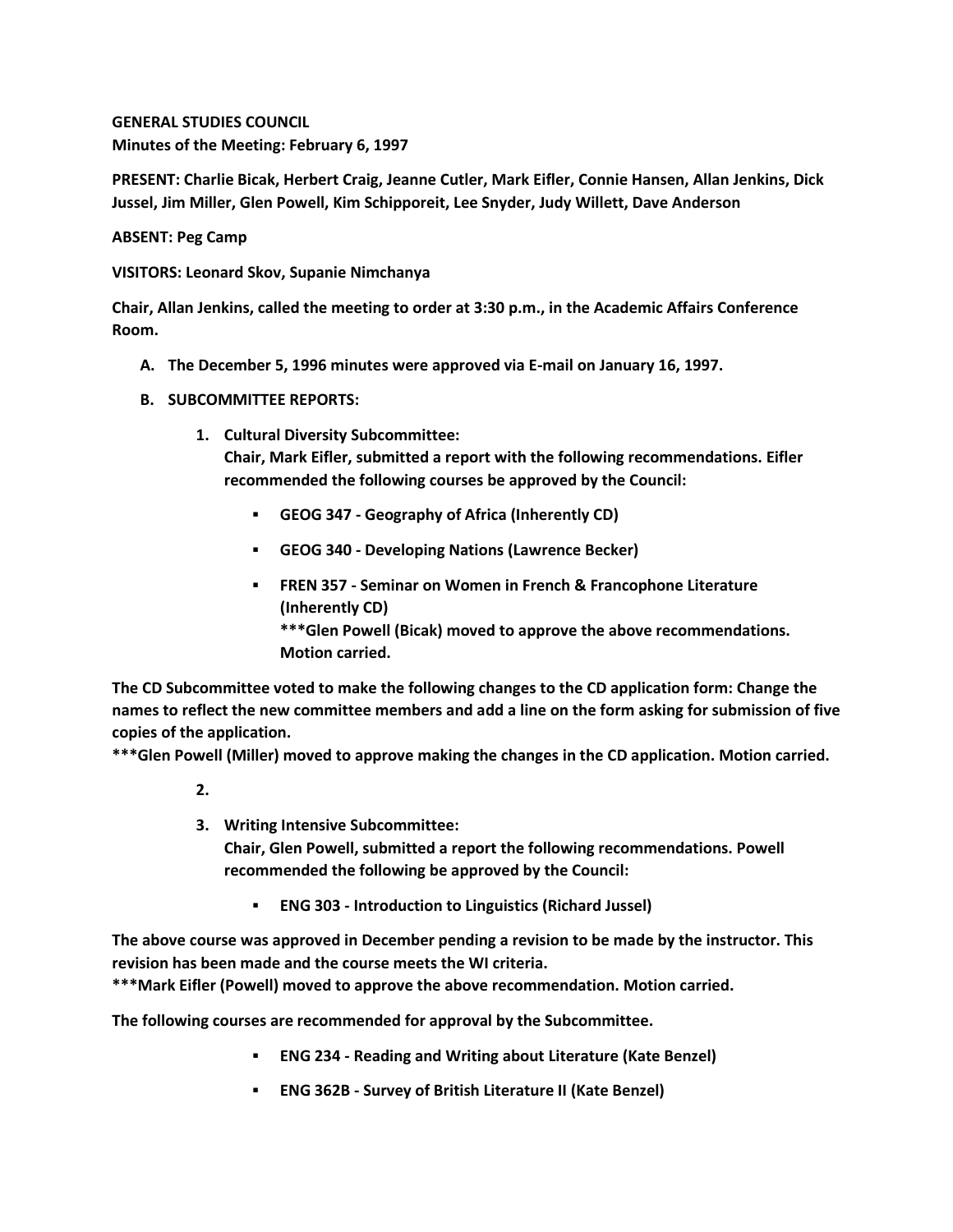**GENERAL STUDIES COUNCIL Minutes of the Meeting: February 6, 1997**

**PRESENT: Charlie Bicak, Herbert Craig, Jeanne Cutler, Mark Eifler, Connie Hansen, Allan Jenkins, Dick Jussel, Jim Miller, Glen Powell, Kim Schipporeit, Lee Snyder, Judy Willett, Dave Anderson**

**ABSENT: Peg Camp**

**VISITORS: Leonard Skov, Supanie Nimchanya**

**Chair, Allan Jenkins, called the meeting to order at 3:30 p.m., in the Academic Affairs Conference Room.**

- **A. The December 5, 1996 minutes were approved via E-mail on January 16, 1997.**
- **B. SUBCOMMITTEE REPORTS:**
	- **1. Cultural Diversity Subcommittee: Chair, Mark Eifler, submitted a report with the following recommendations. Eifler recommended the following courses be approved by the Council:** 
		- **GEOG 347 - Geography of Africa (Inherently CD)**
		- **GEOG 340 - Developing Nations (Lawrence Becker)**
		- **FREN 357 - Seminar on Women in French & Francophone Literature (Inherently CD) \*\*\*Glen Powell (Bicak) moved to approve the above recommendations. Motion carried.**

**The CD Subcommittee voted to make the following changes to the CD application form: Change the names to reflect the new committee members and add a line on the form asking for submission of five copies of the application.**

**\*\*\*Glen Powell (Miller) moved to approve making the changes in the CD application. Motion carried.**

- **2.**
- **3. Writing Intensive Subcommittee: Chair, Glen Powell, submitted a report the following recommendations. Powell recommended the following be approved by the Council:** 
	- **ENG 303 - Introduction to Linguistics (Richard Jussel)**

**The above course was approved in December pending a revision to be made by the instructor. This revision has been made and the course meets the WI criteria.**

**\*\*\*Mark Eifler (Powell) moved to approve the above recommendation. Motion carried.** 

**The following courses are recommended for approval by the Subcommittee.**

- **ENG 234 - Reading and Writing about Literature (Kate Benzel)**
- **ENG 362B - Survey of British Literature II (Kate Benzel)**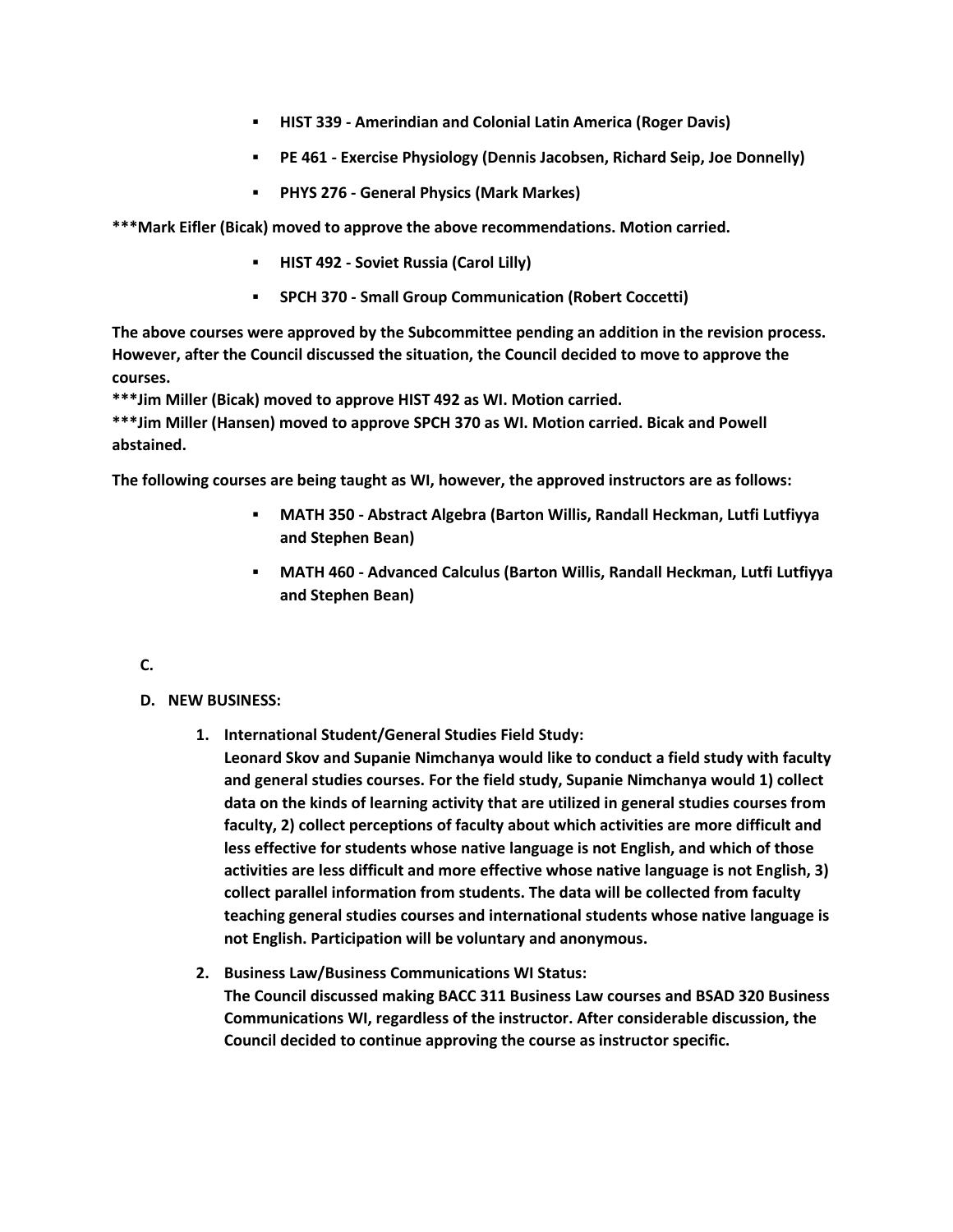- **HIST 339 - Amerindian and Colonial Latin America (Roger Davis)**
- **PE 461 - Exercise Physiology (Dennis Jacobsen, Richard Seip, Joe Donnelly)**
- **PHYS 276 - General Physics (Mark Markes)**

**\*\*\*Mark Eifler (Bicak) moved to approve the above recommendations. Motion carried.** 

- **HIST 492 - Soviet Russia (Carol Lilly)**
- **SPCH 370 - Small Group Communication (Robert Coccetti)**

**The above courses were approved by the Subcommittee pending an addition in the revision process. However, after the Council discussed the situation, the Council decided to move to approve the courses.**

**\*\*\*Jim Miller (Bicak) moved to approve HIST 492 as WI. Motion carried.**

**\*\*\*Jim Miller (Hansen) moved to approve SPCH 370 as WI. Motion carried. Bicak and Powell abstained.** 

**The following courses are being taught as WI, however, the approved instructors are as follows:**

- **MATH 350 - Abstract Algebra (Barton Willis, Randall Heckman, Lutfi Lutfiyya and Stephen Bean)**
- **MATH 460 - Advanced Calculus (Barton Willis, Randall Heckman, Lutfi Lutfiyya and Stephen Bean)**
- **C.**
- **D. NEW BUSINESS:**
	- **1. International Student/General Studies Field Study:**
		- **Leonard Skov and Supanie Nimchanya would like to conduct a field study with faculty and general studies courses. For the field study, Supanie Nimchanya would 1) collect data on the kinds of learning activity that are utilized in general studies courses from faculty, 2) collect perceptions of faculty about which activities are more difficult and less effective for students whose native language is not English, and which of those activities are less difficult and more effective whose native language is not English, 3) collect parallel information from students. The data will be collected from faculty teaching general studies courses and international students whose native language is not English. Participation will be voluntary and anonymous.**
	- **2. Business Law/Business Communications WI Status: The Council discussed making BACC 311 Business Law courses and BSAD 320 Business Communications WI, regardless of the instructor. After considerable discussion, the Council decided to continue approving the course as instructor specific.**